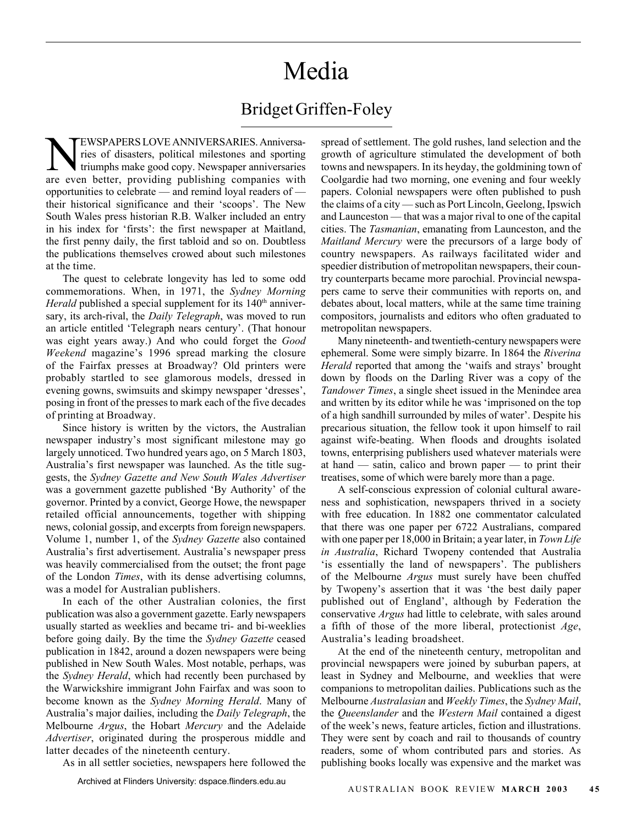## Media

## Bridget Griffen-Foley

EWSPAPERS LOVE ANNIVERSARIES. Anniversa-<br>The strike of disasters, political milestones and sporting<br>triumphs make good copy. Newspaper anniversaries ries of disasters, political milestones and sporting triumphs make good copy. Newspaper anniversaries are even better, providing publishing companies with opportunities to celebrate — and remind loyal readers of their historical significance and their 'scoops'. The New South Wales press historian R.B. Walker included an entry in his index for 'firsts': the first newspaper at Maitland, the first penny daily, the first tabloid and so on. Doubtless the publications themselves crowed about such milestones at the time.

The quest to celebrate longevity has led to some odd commemorations. When, in 1971, the *Sydney Morning Herald* published a special supplement for its 140<sup>th</sup> anniversary, its arch-rival, the *Daily Telegraph*, was moved to run an article entitled 'Telegraph nears century'. (That honour was eight years away.) And who could forget the *Good Weekend* magazine's 1996 spread marking the closure of the Fairfax presses at Broadway? Old printers were probably startled to see glamorous models, dressed in evening gowns, swimsuits and skimpy newspaper 'dresses', posing in front of the presses to mark each of the five decades of printing at Broadway.

Since history is written by the victors, the Australian newspaper industry's most significant milestone may go largely unnoticed. Two hundred years ago, on 5 March 1803, Australia's first newspaper was launched. As the title suggests, the *Sydney Gazette and New South Wales Advertiser* was a government gazette published 'By Authority' of the governor. Printed by a convict, George Howe, the newspaper retailed official announcements, together with shipping news, colonial gossip, and excerpts from foreign newspapers. Volume 1, number 1, of the *Sydney Gazette* also contained Australia's first advertisement. Australia's newspaper press was heavily commercialised from the outset; the front page of the London *Times*, with its dense advertising columns, was a model for Australian publishers.

In each of the other Australian colonies, the first publication was also a government gazette. Early newspapers usually started as weeklies and became tri- and bi-weeklies before going daily. By the time the *Sydney Gazette* ceased publication in 1842, around a dozen newspapers were being published in New South Wales. Most notable, perhaps, was the *Sydney Herald*, which had recently been purchased by the Warwickshire immigrant John Fairfax and was soon to become known as the *Sydney Morning Herald*. Many of Australia's major dailies, including the *Daily Telegraph*, the Melbourne *Argus*, the Hobart *Mercury* and the Adelaide *Advertiser*, originated during the prosperous middle and latter decades of the nineteenth century.

As in all settler societies, newspapers here followed the

spread of settlement. The gold rushes, land selection and the growth of agriculture stimulated the development of both towns and newspapers. In its heyday, the goldmining town of Coolgardie had two morning, one evening and four weekly papers. Colonial newspapers were often published to push the claims of a city — such as Port Lincoln, Geelong, Ipswich and Launceston — that was a major rival to one of the capital cities. The *Tasmanian*, emanating from Launceston, and the *Maitland Mercury* were the precursors of a large body of country newspapers. As railways facilitated wider and speedier distribution of metropolitan newspapers, their country counterparts became more parochial. Provincial newspapers came to serve their communities with reports on, and debates about, local matters, while at the same time training compositors, journalists and editors who often graduated to metropolitan newspapers.

Many nineteenth- and twentieth-century newspapers were ephemeral. Some were simply bizarre. In 1864 the *Riverina Herald* reported that among the 'waifs and strays' brought down by floods on the Darling River was a copy of the *Tandower Times*, a single sheet issued in the Menindee area and written by its editor while he was 'imprisoned on the top of a high sandhill surrounded by miles of water'. Despite his precarious situation, the fellow took it upon himself to rail against wife-beating. When floods and droughts isolated towns, enterprising publishers used whatever materials were at hand — satin, calico and brown paper — to print their treatises, some of which were barely more than a page.

A self-conscious expression of colonial cultural awareness and sophistication, newspapers thrived in a society with free education. In 1882 one commentator calculated that there was one paper per 6722 Australians, compared with one paper per 18,000 in Britain; a year later, in *Town Life in Australia*, Richard Twopeny contended that Australia 'is essentially the land of newspapers'. The publishers of the Melbourne *Argus* must surely have been chuffed by Twopeny's assertion that it was 'the best daily paper published out of England', although by Federation the conservative *Argus* had little to celebrate, with sales around a fifth of those of the more liberal, protectionist *Age*, Australia's leading broadsheet.

At the end of the nineteenth century, metropolitan and provincial newspapers were joined by suburban papers, at least in Sydney and Melbourne, and weeklies that were companions to metropolitan dailies. Publications such as the Melbourne *Australasian* and *Weekly Times*, the *Sydney Mail*, the *Queenslander* and the *Western Mail* contained a digest of the week's news, feature articles, fiction and illustrations. They were sent by coach and rail to thousands of country readers, some of whom contributed pars and stories. As publishing books locally was expensive and the market was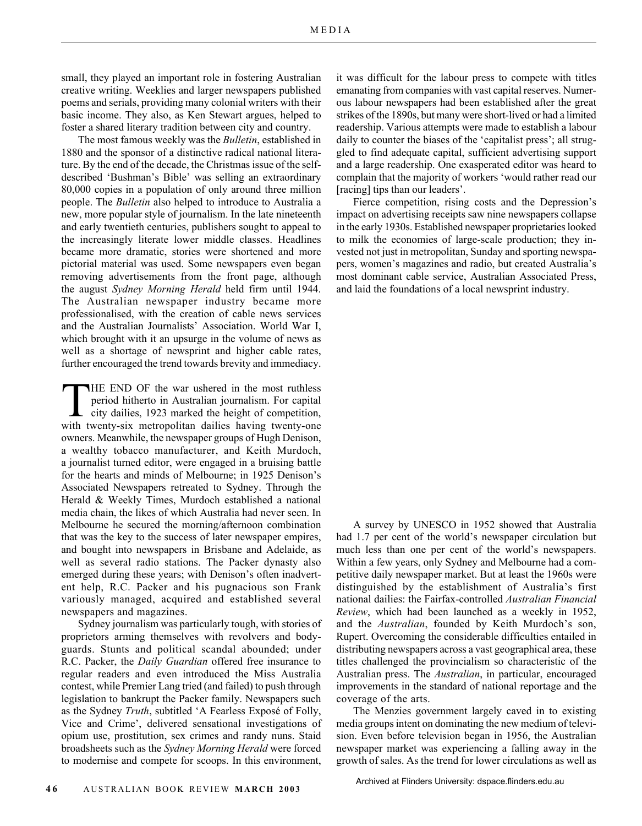small, they played an important role in fostering Australian creative writing. Weeklies and larger newspapers published poems and serials, providing many colonial writers with their basic income. They also, as Ken Stewart argues, helped to foster a shared literary tradition between city and country.

The most famous weekly was the *Bulletin*, established in 1880 and the sponsor of a distinctive radical national literature. By the end of the decade, the Christmas issue of the selfdescribed 'Bushman's Bible' was selling an extraordinary 80,000 copies in a population of only around three million people. The *Bulletin* also helped to introduce to Australia a new, more popular style of journalism. In the late nineteenth and early twentieth centuries, publishers sought to appeal to the increasingly literate lower middle classes. Headlines became more dramatic, stories were shortened and more pictorial material was used. Some newspapers even began removing advertisements from the front page, although the august *Sydney Morning Herald* held firm until 1944. The Australian newspaper industry became more professionalised, with the creation of cable news services and the Australian Journalists' Association. World War I, which brought with it an upsurge in the volume of news as well as a shortage of newsprint and higher cable rates, further encouraged the trend towards brevity and immediacy.

THE END OF the war ushered in the most ruthless period hitherto in Australian journalism. For capital city dailies, 1923 marked the height of competition, with twenty-six metropolitan dailies having twenty-one owners. Meanwhile, the newspaper groups of Hugh Denison, a wealthy tobacco manufacturer, and Keith Murdoch, a journalist turned editor, were engaged in a bruising battle for the hearts and minds of Melbourne; in 1925 Denison's Associated Newspapers retreated to Sydney. Through the Herald & Weekly Times, Murdoch established a national media chain, the likes of which Australia had never seen. In Melbourne he secured the morning/afternoon combination that was the key to the success of later newspaper empires, and bought into newspapers in Brisbane and Adelaide, as well as several radio stations. The Packer dynasty also emerged during these years; with Denison's often inadvertent help, R.C. Packer and his pugnacious son Frank variously managed, acquired and established several newspapers and magazines.

Sydney journalism was particularly tough, with stories of proprietors arming themselves with revolvers and bodyguards. Stunts and political scandal abounded; under R.C. Packer, the *Daily Guardian* offered free insurance to regular readers and even introduced the Miss Australia contest, while Premier Lang tried (and failed) to push through legislation to bankrupt the Packer family. Newspapers such as the Sydney *Truth*, subtitled 'A Fearless Exposé of Folly, Vice and Crime', delivered sensational investigations of opium use, prostitution, sex crimes and randy nuns. Staid broadsheets such as the *Sydney Morning Herald* were forced to modernise and compete for scoops. In this environment,

it was difficult for the labour press to compete with titles emanating from companies with vast capital reserves. Numerous labour newspapers had been established after the great strikes of the 1890s, but many were short-lived or had a limited readership. Various attempts were made to establish a labour daily to counter the biases of the 'capitalist press'; all struggled to find adequate capital, sufficient advertising support and a large readership. One exasperated editor was heard to complain that the majority of workers 'would rather read our [racing] tips than our leaders'.

Fierce competition, rising costs and the Depression's impact on advertising receipts saw nine newspapers collapse in the early 1930s. Established newspaper proprietaries looked to milk the economies of large-scale production; they invested not just in metropolitan, Sunday and sporting newspapers, women's magazines and radio, but created Australia's most dominant cable service, Australian Associated Press, and laid the foundations of a local newsprint industry.

A survey by UNESCO in 1952 showed that Australia had 1.7 per cent of the world's newspaper circulation but much less than one per cent of the world's newspapers. Within a few years, only Sydney and Melbourne had a competitive daily newspaper market. But at least the 1960s were distinguished by the establishment of Australia's first national dailies: the Fairfax-controlled *Australian Financial Review*, which had been launched as a weekly in 1952, and the *Australian*, founded by Keith Murdoch's son, Rupert. Overcoming the considerable difficulties entailed in distributing newspapers across a vast geographical area, these titles challenged the provincialism so characteristic of the Australian press. The *Australian*, in particular, encouraged improvements in the standard of national reportage and the coverage of the arts.

The Menzies government largely caved in to existing media groups intent on dominating the new medium of television. Even before television began in 1956, the Australian newspaper market was experiencing a falling away in the growth of sales. As the trend for lower circulations as well as